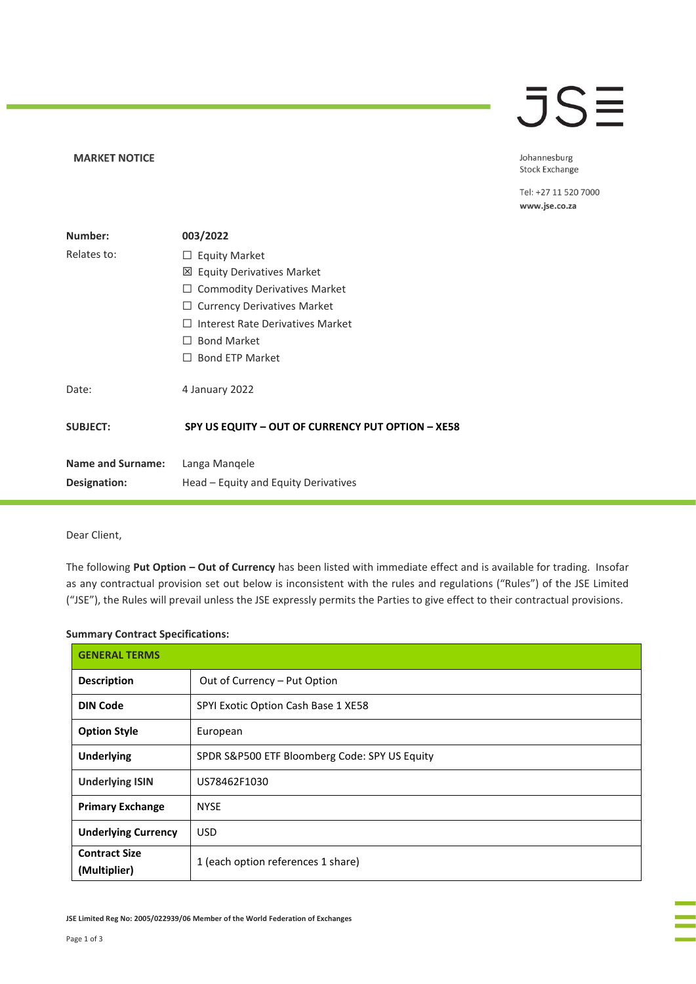## **MARKET NOTICE**

## **JSE**

Johannesburg Stock Exchange

Tel: +27 11 520 7000 www.jse.co.za

| Number:                  | 003/2022                                          |
|--------------------------|---------------------------------------------------|
| Relates to:              | $\Box$ Equity Market                              |
|                          | ⊠ Equity Derivatives Market                       |
|                          | <b>Commodity Derivatives Market</b>               |
|                          | <b>Currency Derivatives Market</b><br>⊔           |
|                          | Interest Rate Derivatives Market<br>$\mathbf{I}$  |
|                          | <b>Bond Market</b><br>$\perp$                     |
|                          | <b>Bond ETP Market</b><br>$\perp$                 |
| Date:                    | 4 January 2022                                    |
| <b>SUBJECT:</b>          | SPY US EQUITY - OUT OF CURRENCY PUT OPTION - XE58 |
| <b>Name and Surname:</b> | Langa Mangele                                     |
| Designation:             | Head – Equity and Equity Derivatives              |

Dear Client,

The following **Put Option – Out of Currency** has been listed with immediate effect and is available for trading. Insofar as any contractual provision set out below is inconsistent with the rules and regulations ("Rules") of the JSE Limited ("JSE"), the Rules will prevail unless the JSE expressly permits the Parties to give effect to their contractual provisions.

## **Summary Contract Specifications:**

| <b>GENERAL TERMS</b>                 |                                               |  |
|--------------------------------------|-----------------------------------------------|--|
| <b>Description</b>                   | Out of Currency - Put Option                  |  |
| <b>DIN Code</b>                      | SPYI Exotic Option Cash Base 1 XE58           |  |
| <b>Option Style</b>                  | European                                      |  |
| <b>Underlying</b>                    | SPDR S&P500 ETF Bloomberg Code: SPY US Equity |  |
| <b>Underlying ISIN</b>               | US78462F1030                                  |  |
| <b>Primary Exchange</b>              | <b>NYSE</b>                                   |  |
| <b>Underlying Currency</b>           | <b>USD</b>                                    |  |
| <b>Contract Size</b><br>(Multiplier) | 1 (each option references 1 share)            |  |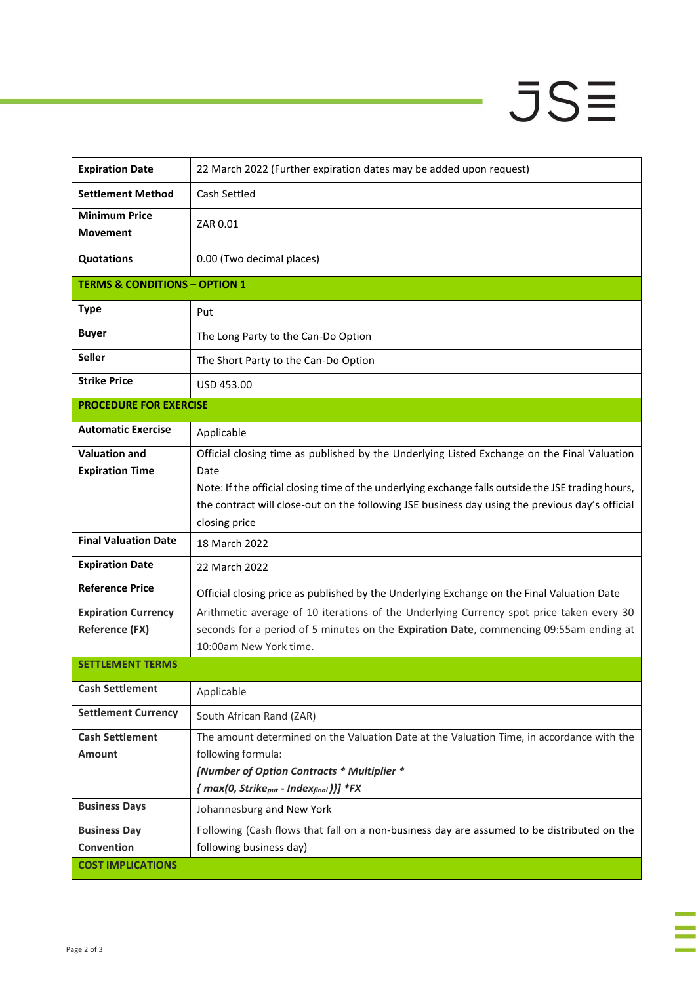## $JSE$

J,

| <b>Expiration Date</b>                   | 22 March 2022 (Further expiration dates may be added upon request)                                                                                                                                    |
|------------------------------------------|-------------------------------------------------------------------------------------------------------------------------------------------------------------------------------------------------------|
| <b>Settlement Method</b>                 | Cash Settled                                                                                                                                                                                          |
| <b>Minimum Price</b><br><b>Movement</b>  | ZAR 0.01                                                                                                                                                                                              |
| <b>Quotations</b>                        | 0.00 (Two decimal places)                                                                                                                                                                             |
| <b>TERMS &amp; CONDITIONS - OPTION 1</b> |                                                                                                                                                                                                       |
| <b>Type</b>                              | Put                                                                                                                                                                                                   |
| <b>Buyer</b>                             | The Long Party to the Can-Do Option                                                                                                                                                                   |
| <b>Seller</b>                            | The Short Party to the Can-Do Option                                                                                                                                                                  |
| <b>Strike Price</b>                      | USD 453.00                                                                                                                                                                                            |
| <b>PROCEDURE FOR EXERCISE</b>            |                                                                                                                                                                                                       |
| <b>Automatic Exercise</b>                | Applicable                                                                                                                                                                                            |
| <b>Valuation and</b>                     | Official closing time as published by the Underlying Listed Exchange on the Final Valuation                                                                                                           |
| <b>Expiration Time</b>                   | Date                                                                                                                                                                                                  |
|                                          | Note: If the official closing time of the underlying exchange falls outside the JSE trading hours,<br>the contract will close-out on the following JSE business day using the previous day's official |
|                                          | closing price                                                                                                                                                                                         |
| <b>Final Valuation Date</b>              | 18 March 2022                                                                                                                                                                                         |
| <b>Expiration Date</b>                   | 22 March 2022                                                                                                                                                                                         |
| <b>Reference Price</b>                   | Official closing price as published by the Underlying Exchange on the Final Valuation Date                                                                                                            |
| <b>Expiration Currency</b>               | Arithmetic average of 10 iterations of the Underlying Currency spot price taken every 30                                                                                                              |
| <b>Reference (FX)</b>                    | seconds for a period of 5 minutes on the Expiration Date, commencing 09:55am ending at<br>10:00am New York time.                                                                                      |
| <b>SETTLEMENT TERMS</b>                  |                                                                                                                                                                                                       |
| <b>Cash Settlement</b>                   |                                                                                                                                                                                                       |
|                                          | Applicable                                                                                                                                                                                            |
| <b>Settlement Currency</b>               | South African Rand (ZAR)                                                                                                                                                                              |
| <b>Cash Settlement</b>                   | The amount determined on the Valuation Date at the Valuation Time, in accordance with the                                                                                                             |
| <b>Amount</b>                            | following formula:                                                                                                                                                                                    |
|                                          | [Number of Option Contracts * Multiplier *<br>${mag(0, Strike_{put} - Index_{final})}$ *FX                                                                                                            |
| <b>Business Days</b>                     | Johannesburg and New York                                                                                                                                                                             |
| <b>Business Day</b>                      | Following (Cash flows that fall on a non-business day are assumed to be distributed on the                                                                                                            |
| Convention                               | following business day)                                                                                                                                                                               |
| <b>COST IMPLICATIONS</b>                 |                                                                                                                                                                                                       |
|                                          |                                                                                                                                                                                                       |